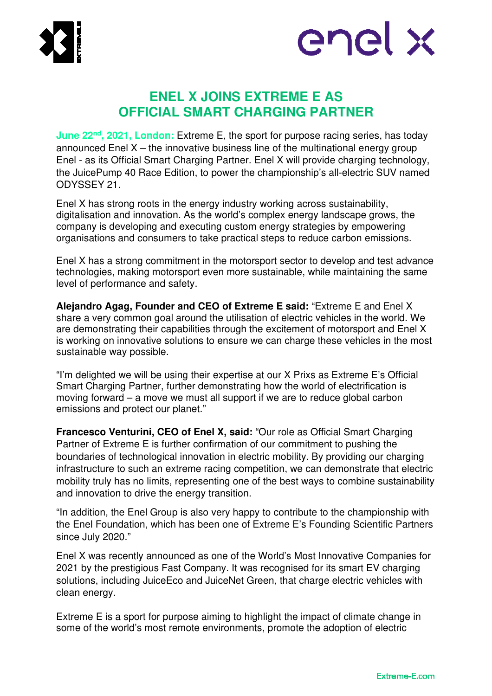



# **ENEL X JOINS EXTREME E AS OFFICIAL SMART CHARGING PARTNER**

**June 22nd, 2021, London:** Extreme E, the sport for purpose racing series, has today announced Enel  $X$  – the innovative business line of the multinational energy group Enel - as its Official Smart Charging Partner. Enel X will provide charging technology, the JuicePump 40 Race Edition, to power the championship's all-electric SUV named ODYSSEY 21.

Enel X has strong roots in the energy industry working across sustainability, digitalisation and innovation. As the world's complex energy landscape grows, the company is developing and executing custom energy strategies by empowering organisations and consumers to take practical steps to reduce carbon emissions.

Enel X has a strong commitment in the motorsport sector to develop and test advance technologies, making motorsport even more sustainable, while maintaining the same level of performance and safety.

**Alejandro Agag, Founder and CEO of Extreme E said:** "Extreme E and Enel X share a very common goal around the utilisation of electric vehicles in the world. We are demonstrating their capabilities through the excitement of motorsport and Enel X is working on innovative solutions to ensure we can charge these vehicles in the most sustainable way possible.

"I'm delighted we will be using their expertise at our X Prixs as Extreme E's Official Smart Charging Partner, further demonstrating how the world of electrification is moving forward – a move we must all support if we are to reduce global carbon emissions and protect our planet."

**Francesco Venturini, CEO of Enel X, said:** "Our role as Official Smart Charging Partner of Extreme E is further confirmation of our commitment to pushing the boundaries of technological innovation in electric mobility. By providing our charging infrastructure to such an extreme racing competition, we can demonstrate that electric mobility truly has no limits, representing one of the best ways to combine sustainability and innovation to drive the energy transition.

"In addition, the Enel Group is also very happy to contribute to the championship with the Enel Foundation, which has been one of Extreme E's Founding Scientific Partners since July 2020."

Enel X was recently announced as one of the World's Most Innovative Companies for 2021 by the prestigious Fast Company. It was recognised for its smart EV charging solutions, including JuiceEco and JuiceNet Green, that charge electric vehicles with clean energy.

Extreme E is a sport for purpose aiming to highlight the impact of climate change in some of the world's most remote environments, promote the adoption of electric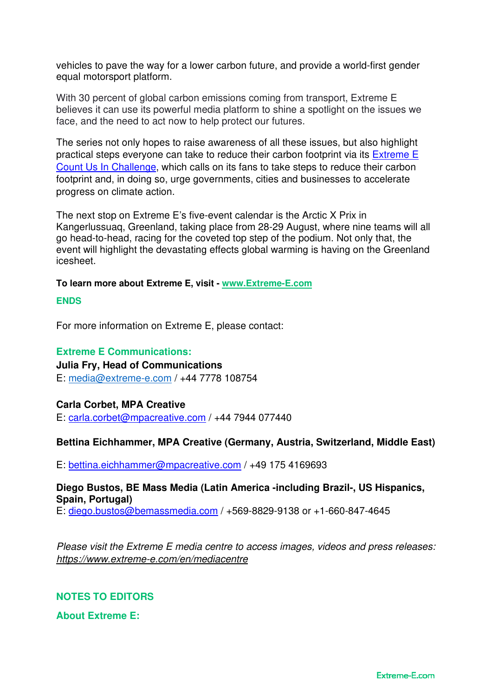vehicles to pave the way for a lower carbon future, and provide a world-first gender equal motorsport platform.

With 30 percent of global carbon emissions coming from transport, Extreme E believes it can use its powerful media platform to shine a spotlight on the issues we face, and the need to act now to help protect our futures.

The series not only hopes to raise awareness of all these issues, but also highlight practical steps everyone can take to reduce their carbon footprint via its Extreme E Count Us In Challenge, which calls on its fans to take steps to reduce their carbon footprint and, in doing so, urge governments, cities and businesses to accelerate progress on climate action.

The next stop on Extreme E's five-event calendar is the Arctic X Prix in Kangerlussuaq, Greenland, taking place from 28-29 August, where nine teams will all go head-to-head, racing for the coveted top step of the podium. Not only that, the event will highlight the devastating effects global warming is having on the Greenland icesheet.

### **To learn more about Extreme E, visit - www.Extreme-E.com**

#### **ENDS**

For more information on Extreme E, please contact:

### **Extreme E Communications:**

**Julia Fry, Head of Communications**  E: media@extreme-e.com / +44 7778 108754

### **Carla Corbet, MPA Creative**

E: carla.corbet@mpacreative.com / +44 7944 077440

### **Bettina Eichhammer, MPA Creative (Germany, Austria, Switzerland, Middle East)**

E: bettina.eichhammer@mpacreative.com / +49 175 4169693

### **Diego Bustos, BE Mass Media (Latin America -including Brazil-, US Hispanics, Spain, Portugal)**

E: diego.bustos@bemassmedia.com / +569-8829-9138 or +1-660-847-4645

*Please visit the Extreme E media centre to access images, videos and press releases: https://www.extreme-e.com/en/mediacentre* 

# **NOTES TO EDITORS**

**About Extreme E:**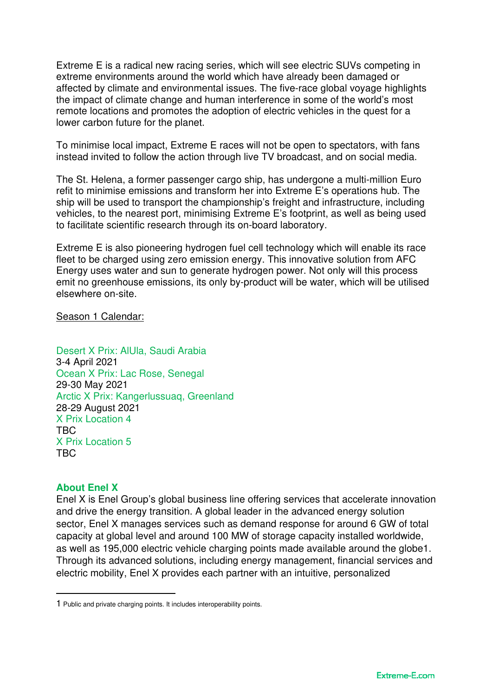Extreme E is a radical new racing series, which will see electric SUVs competing in extreme environments around the world which have already been damaged or affected by climate and environmental issues. The five-race global voyage highlights the impact of climate change and human interference in some of the world's most remote locations and promotes the adoption of electric vehicles in the quest for a lower carbon future for the planet.

To minimise local impact, Extreme E races will not be open to spectators, with fans instead invited to follow the action through live TV broadcast, and on social media.

The St. Helena, a former passenger cargo ship, has undergone a multi-million Euro refit to minimise emissions and transform her into Extreme E's operations hub. The ship will be used to transport the championship's freight and infrastructure, including vehicles, to the nearest port, minimising Extreme E's footprint, as well as being used to facilitate scientific research through its on-board laboratory.

Extreme E is also pioneering hydrogen fuel cell technology which will enable its race fleet to be charged using zero emission energy. This innovative solution from AFC Energy uses water and sun to generate hydrogen power. Not only will this process emit no greenhouse emissions, its only by-product will be water, which will be utilised elsewhere on-site.

Season 1 Calendar:

Desert X Prix: AlUla, Saudi Arabia 3-4 April 2021 Ocean X Prix: Lac Rose, Senegal 29-30 May 2021 Arctic X Prix: Kangerlussuaq, Greenland 28-29 August 2021 X Prix Location 4 TBC X Prix Location 5 TBC

### **About Enel X**

Enel X is Enel Group's global business line offering services that accelerate innovation and drive the energy transition. A global leader in the advanced energy solution sector, Enel X manages services such as demand response for around 6 GW of total capacity at global level and around 100 MW of storage capacity installed worldwide, as well as 195,000 electric vehicle charging points made available around the globe1. Through its advanced solutions, including energy management, financial services and electric mobility, Enel X provides each partner with an intuitive, personalized

<sup>1</sup> Public and private charging points. It includes interoperability points.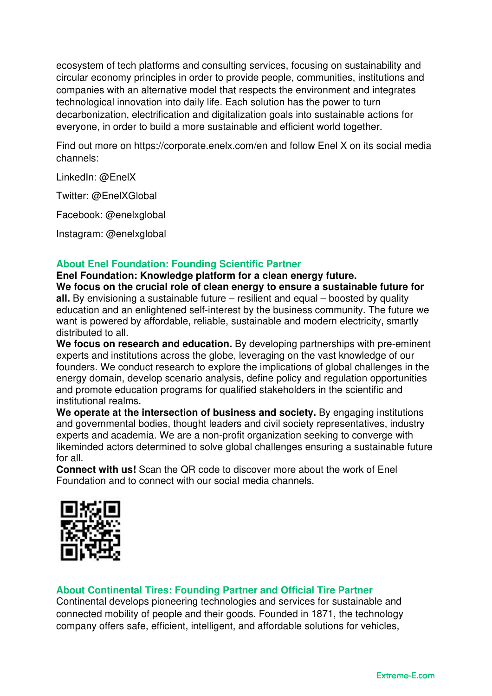ecosystem of tech platforms and consulting services, focusing on sustainability and circular economy principles in order to provide people, communities, institutions and companies with an alternative model that respects the environment and integrates technological innovation into daily life. Each solution has the power to turn decarbonization, electrification and digitalization goals into sustainable actions for everyone, in order to build a more sustainable and efficient world together.

Find out more on https://corporate.enelx.com/en and follow Enel X on its social media channels:

LinkedIn: @EnelX

Twitter: @EnelXGlobal

Facebook: @enelxglobal

Instagram: @enelxglobal

# **About Enel Foundation: Founding Scientific Partner**

**Enel Foundation: Knowledge platform for a clean energy future. We focus on the crucial role of clean energy to ensure a sustainable future for all.** By envisioning a sustainable future – resilient and equal – boosted by quality education and an enlightened self-interest by the business community. The future we want is powered by affordable, reliable, sustainable and modern electricity, smartly distributed to all.

**We focus on research and education.** By developing partnerships with pre-eminent experts and institutions across the globe, leveraging on the vast knowledge of our founders. We conduct research to explore the implications of global challenges in the energy domain, develop scenario analysis, define policy and regulation opportunities and promote education programs for qualified stakeholders in the scientific and institutional realms.

We operate at the intersection of business and society. By engaging institutions and governmental bodies, thought leaders and civil society representatives, industry experts and academia. We are a non-profit organization seeking to converge with likeminded actors determined to solve global challenges ensuring a sustainable future for all.

**Connect with us!** Scan the QR code to discover more about the work of Enel Foundation and to connect with our social media channels.



# **About Continental Tires: Founding Partner and Official Tire Partner**

Continental develops pioneering technologies and services for sustainable and connected mobility of people and their goods. Founded in 1871, the technology company offers safe, efficient, intelligent, and affordable solutions for vehicles,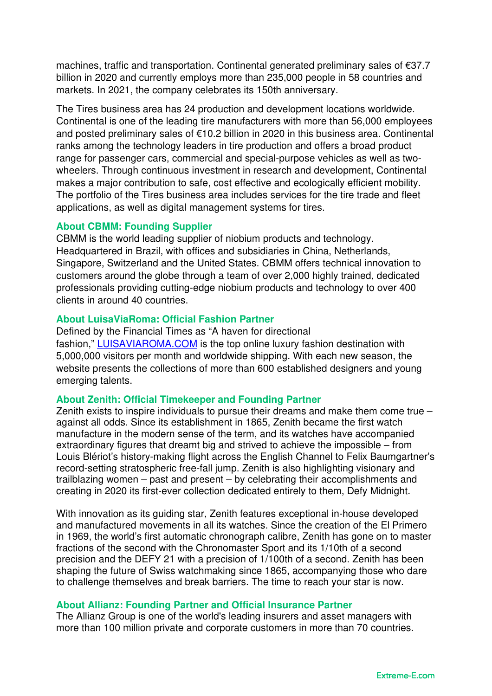machines, traffic and transportation. Continental generated preliminary sales of €37.7 billion in 2020 and currently employs more than 235,000 people in 58 countries and markets. In 2021, the company celebrates its 150th anniversary.

The Tires business area has 24 production and development locations worldwide. Continental is one of the leading tire manufacturers with more than 56,000 employees and posted preliminary sales of €10.2 billion in 2020 in this business area. Continental ranks among the technology leaders in tire production and offers a broad product range for passenger cars, commercial and special-purpose vehicles as well as twowheelers. Through continuous investment in research and development, Continental makes a major contribution to safe, cost effective and ecologically efficient mobility. The portfolio of the Tires business area includes services for the tire trade and fleet applications, as well as digital management systems for tires.

### **About CBMM: Founding Supplier**

CBMM is the world leading supplier of niobium products and technology. Headquartered in Brazil, with offices and subsidiaries in China, Netherlands, Singapore, Switzerland and the United States. CBMM offers technical innovation to customers around the globe through a team of over 2,000 highly trained, dedicated professionals providing cutting-edge niobium products and technology to over 400 clients in around 40 countries.

### **About LuisaViaRoma: Official Fashion Partner**

Defined by the Financial Times as "A haven for directional fashion," LUISAVIAROMA.COM is the top online luxury fashion destination with 5,000,000 visitors per month and worldwide shipping. With each new season, the website presents the collections of more than 600 established designers and young emerging talents.

### **About Zenith: Official Timekeeper and Founding Partner**

Zenith exists to inspire individuals to pursue their dreams and make them come true – against all odds. Since its establishment in 1865, Zenith became the first watch manufacture in the modern sense of the term, and its watches have accompanied extraordinary figures that dreamt big and strived to achieve the impossible – from Louis Blériot's history-making flight across the English Channel to Felix Baumgartner's record-setting stratospheric free-fall jump. Zenith is also highlighting visionary and trailblazing women – past and present – by celebrating their accomplishments and creating in 2020 its first-ever collection dedicated entirely to them, Defy Midnight.

With innovation as its quiding star, Zenith features exceptional in-house developed and manufactured movements in all its watches. Since the creation of the El Primero in 1969, the world's first automatic chronograph calibre, Zenith has gone on to master fractions of the second with the Chronomaster Sport and its 1/10th of a second precision and the DEFY 21 with a precision of 1/100th of a second. Zenith has been shaping the future of Swiss watchmaking since 1865, accompanying those who dare to challenge themselves and break barriers. The time to reach your star is now.

# **About Allianz: Founding Partner and Official Insurance Partner**

The Allianz Group is one of the world's leading insurers and asset managers with more than 100 million private and corporate customers in more than 70 countries.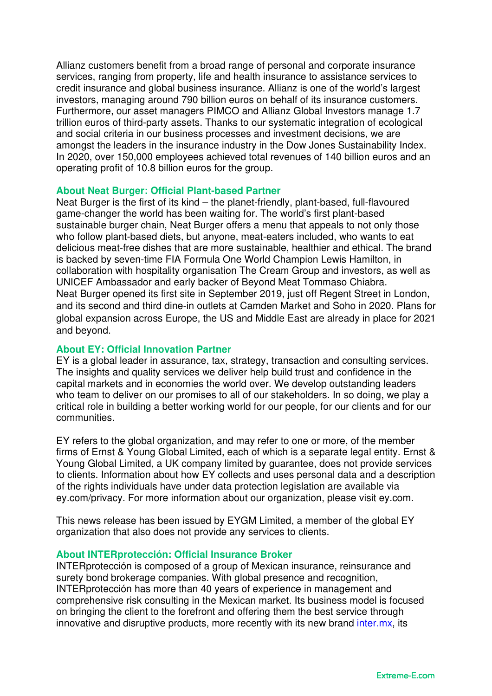Allianz customers benefit from a broad range of personal and corporate insurance services, ranging from property, life and health insurance to assistance services to credit insurance and global business insurance. Allianz is one of the world's largest investors, managing around 790 billion euros on behalf of its insurance customers. Furthermore, our asset managers PIMCO and Allianz Global Investors manage 1.7 trillion euros of third-party assets. Thanks to our systematic integration of ecological and social criteria in our business processes and investment decisions, we are amongst the leaders in the insurance industry in the Dow Jones Sustainability Index. In 2020, over 150,000 employees achieved total revenues of 140 billion euros and an operating profit of 10.8 billion euros for the group.

### **About Neat Burger: Official Plant-based Partner**

Neat Burger is the first of its kind – the planet-friendly, plant-based, full-flavoured game-changer the world has been waiting for. The world's first plant-based sustainable burger chain, Neat Burger offers a menu that appeals to not only those who follow plant-based diets, but anyone, meat-eaters included, who wants to eat delicious meat-free dishes that are more sustainable, healthier and ethical. The brand is backed by seven-time FIA Formula One World Champion Lewis Hamilton, in collaboration with hospitality organisation The Cream Group and investors, as well as UNICEF Ambassador and early backer of Beyond Meat Tommaso Chiabra. Neat Burger opened its first site in September 2019, just off Regent Street in London, and its second and third dine-in outlets at Camden Market and Soho in 2020. Plans for global expansion across Europe, the US and Middle East are already in place for 2021 and beyond.

### **About EY: Official Innovation Partner**

EY is a global leader in assurance, tax, strategy, transaction and consulting services. The insights and quality services we deliver help build trust and confidence in the capital markets and in economies the world over. We develop outstanding leaders who team to deliver on our promises to all of our stakeholders. In so doing, we play a critical role in building a better working world for our people, for our clients and for our communities.

EY refers to the global organization, and may refer to one or more, of the member firms of Ernst & Young Global Limited, each of which is a separate legal entity. Ernst & Young Global Limited, a UK company limited by guarantee, does not provide services to clients. Information about how EY collects and uses personal data and a description of the rights individuals have under data protection legislation are available via ey.com/privacy. For more information about our organization, please visit ey.com.

This news release has been issued by EYGM Limited, a member of the global EY organization that also does not provide any services to clients.

#### **About INTERprotección: Official Insurance Broker**

INTERprotección is composed of a group of Mexican insurance, reinsurance and surety bond brokerage companies. With global presence and recognition, INTERprotección has more than 40 years of experience in management and comprehensive risk consulting in the Mexican market. Its business model is focused on bringing the client to the forefront and offering them the best service through innovative and disruptive products, more recently with its new brand inter.mx, its